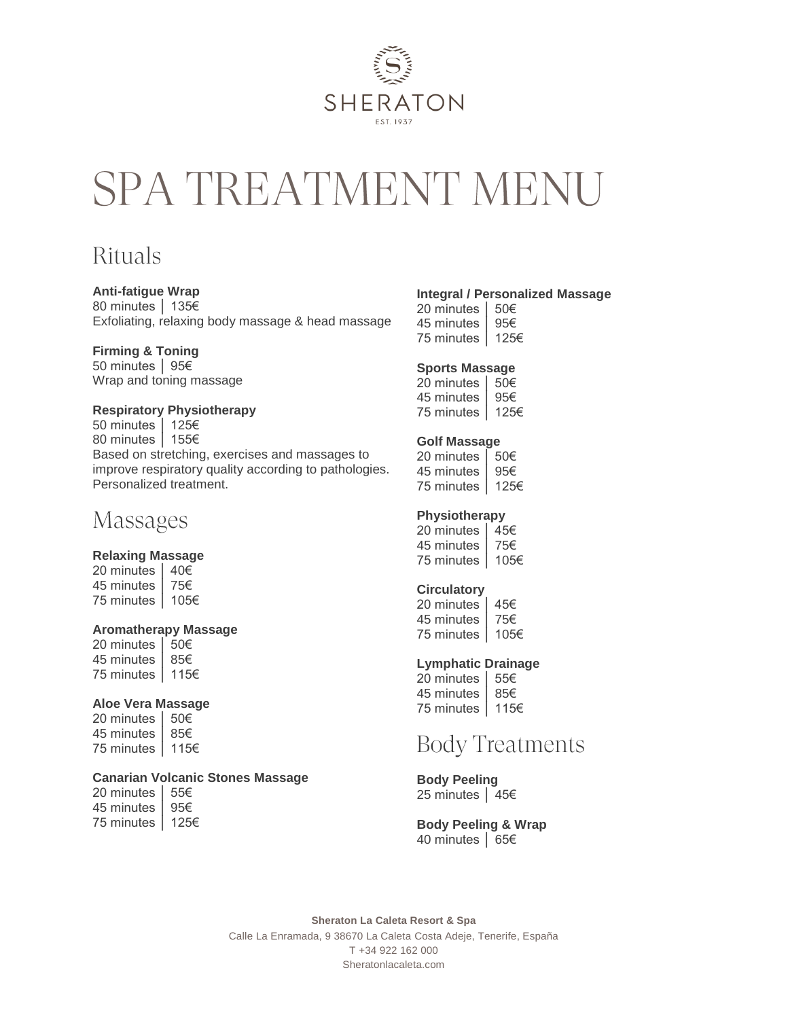

# SPA TREATMENT MENU

# **Rituals**

### **Anti-fatigue Wrap**

80 minutes │ 135€ Exfoliating, relaxing body massage & head massage

### **Firming & Toning**

50 minutes │ 95€ Wrap and toning massage

### **Respiratory Physiotherapy**

50 minutes │ 125€ 80 minutes │ 155€ Based on stretching, exercises and massages to improve respiratory quality according to pathologies. Personalized treatment.

### Massages

#### **Relaxing Massage**

20 minutes │ 40€ 45 minutes │ 75€ 75 minutes │ 105€

#### **Aromatherapy Massage**

20 minutes │ 50€ 45 minutes │ 85€ 75 minutes │ 115€

#### **Aloe Vera Massage**

20 minutes │ 50€ 45 minutes │ 85€ 75 minutes │ 115€

### **Canarian Volcanic Stones Massage**

20 minutes │ 55€ 45 minutes │ 95€ 75 minutes │ 125€

### **Integral / Personalized Massage**

20 minutes │ 50€ 45 minutes │ 95€ 75 minutes │ 125€

### **Sports Massage**

20 minutes │ 50€ 45 minutes │ 95€ 75 minutes │ 125€

#### **Golf Massage**

20 minutes │ 50€ 45 minutes │ 95€ 75 minutes │ 125€

### **Physiotherapy**

20 minutes │ 45€ 45 minutes │ 75€ 75 minutes │ 105€

### **Circulatory**

| 20 minutes | 45€  |
|------------|------|
| 45 minutes | 75€  |
| 75 minutes | 105€ |

#### **Lymphatic Drainage**

| 20 minutes | 55€  |
|------------|------|
| 45 minutes | 85€  |
| 75 minutes | 115€ |

# **Body Treatments**

**Body Peeling** 25 minutes │ 45€

**Body Peeling & Wrap** 40 minutes │ 65€

**Sheraton La Caleta Resort & Spa** Calle La Enramada, 9 38670 La Caleta Costa Adeje, Tenerife, España T +34 922 162 000 Sheratonlacaleta.com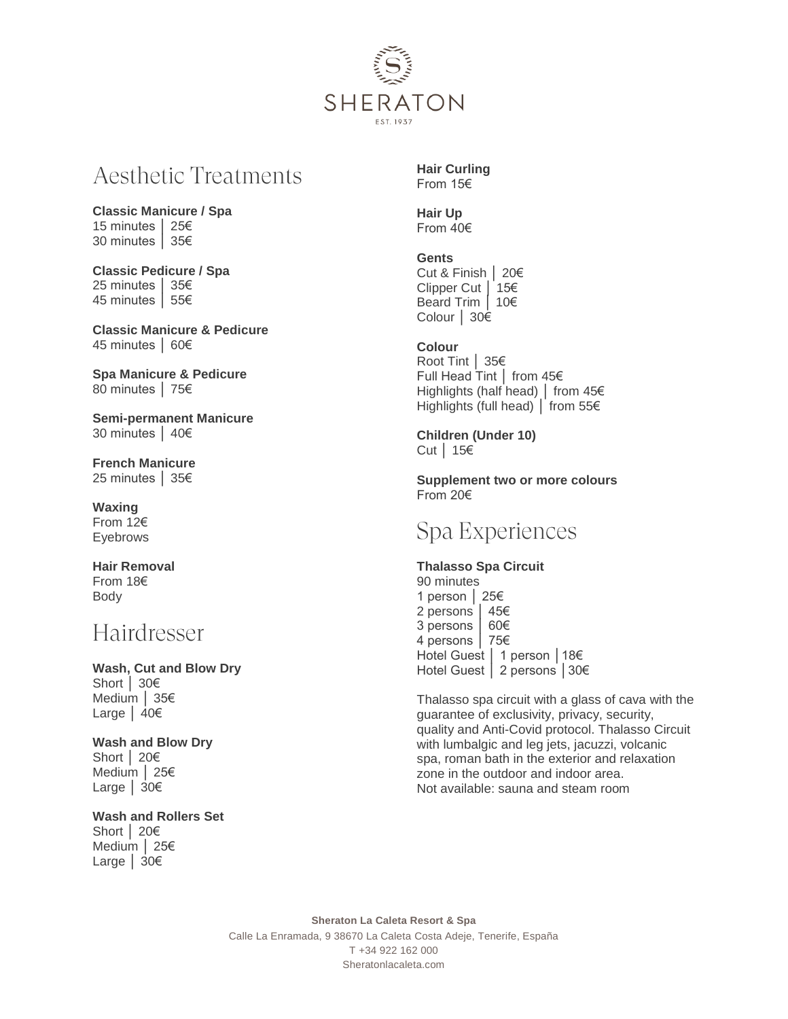

# **Aesthetic Treatments**

**Classic Manicure / Spa** 15 minutes │ 25€ 30 minutes │ 35€

**Classic Pedicure / Spa** 25 minutes │ 35€ 45 minutes │ 55€

**Classic Manicure & Pedicure** 45 minutes │ 60€

**Spa Manicure & Pedicure** 80 minutes │ 75€

**Semi-permanent Manicure**  30 minutes │ 40€

**French Manicure**  25 minutes │ 35€

**Waxing**  From 12€ Eyebrows

**Hair Removal**  From 18€ Body

### Hairdresser

**Wash, Cut and Blow Dry** Short │ 30€ Medium │ 35€ Large │ 40€

**Wash and Blow Dry** Short │ 20€ Medium │ 25€ Large │ 30€

**Wash and Rollers Set** Short │ 20€

Medium │ 25€ Large │ 30€

**Hair Curling** From 15€

**Hair Up** From 40€

**Gents** Cut & Finish │ 20€ Clipper Cut │ 15€ Beard Trim │ 10€ Colour │ 30€

**Colour** Root Tint │ 35€ Full Head Tint │ from 45€ Highlights (half head) │ from 45€ Highlights (full head) │ from 55€

**Children (Under 10)** Cut │ 15€

**Supplement two or more colours**  From 20€

### Spa Experiences

**Thalasso Spa Circuit**  90 minutes 1 person │ 25€ 2 persons │ 45€ 3 persons │ 60€ 4 persons │ 75€ Hotel Guest │ 1 person │18€ Hotel Guest │ 2 persons │30€

Thalasso spa circuit with a glass of cava with the guarantee of exclusivity, privacy, security, quality and Anti-Covid protocol. Thalasso Circuit with lumbalgic and leg jets, jacuzzi, volcanic spa, roman bath in the exterior and relaxation zone in the outdoor and indoor area. Not available: sauna and steam room

**Sheraton La Caleta Resort & Spa** Calle La Enramada, 9 38670 La Caleta Costa Adeje, Tenerife, España T +34 922 162 000 Sheratonlacaleta.com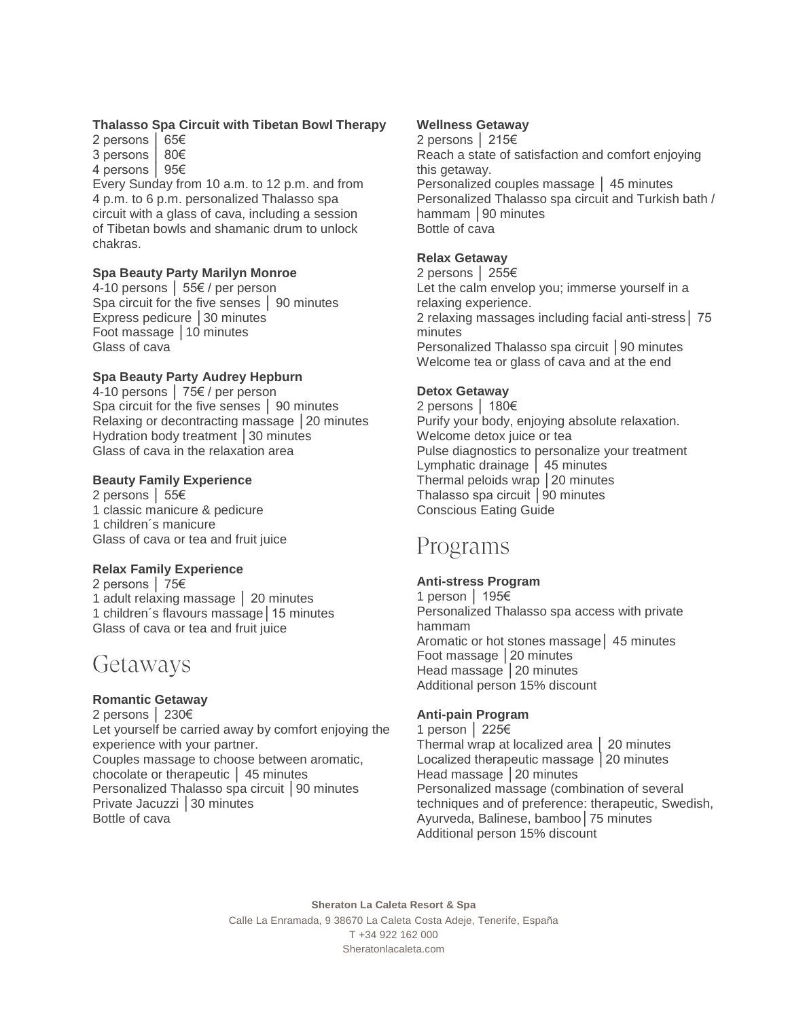### **Thalasso Spa Circuit with Tibetan Bowl Therapy**

2 persons │ 65€ 3 persons │ 80€ 4 persons │ 95€

Every Sunday from 10 a.m. to 12 p.m. and from 4 p.m. to 6 p.m. personalized Thalasso spa circuit with a glass of cava, including a session of Tibetan bowls and shamanic drum to unlock chakras.

### **Spa Beauty Party Marilyn Monroe**

4-10 persons │ 55€ / per person Spa circuit for the five senses │ 90 minutes Express pedicure │30 minutes Foot massage │10 minutes Glass of cava

### **Spa Beauty Party Audrey Hepburn**

4-10 persons │ 75€ / per person Spa circuit for the five senses │ 90 minutes Relaxing or decontracting massage │20 minutes Hydration body treatment | 30 minutes Glass of cava in the relaxation area

### **Beauty Family Experience**

2 persons │ 55€ 1 classic manicure & pedicure 1 children´s manicure Glass of cava or tea and fruit juice

### **Relax Family Experience**

2 persons │ 75€ 1 adult relaxing massage │ 20 minutes 1 children´s flavours massage│15 minutes Glass of cava or tea and fruit juice

### Getaways

### **Romantic Getaway**

2 persons │ 230€ Let yourself be carried away by comfort enjoying the experience with your partner. Couples massage to choose between aromatic, chocolate or therapeutic │ 45 minutes Personalized Thalasso spa circuit │90 minutes Private Jacuzzi │30 minutes Bottle of cava

### **Wellness Getaway**

2 persons │ 215€ Reach a state of satisfaction and comfort enjoying this getaway. Personalized couples massage │ 45 minutes Personalized Thalasso spa circuit and Turkish bath / hammam | 90 minutes Bottle of cava

### **Relax Getaway**

2 persons │ 255€ Let the calm envelop you; immerse yourself in a relaxing experience. 2 relaxing massages including facial anti-stress│ 75 minutes Personalized Thalasso spa circuit │90 minutes Welcome tea or glass of cava and at the end

### **Detox Getaway**

2 persons │ 180€ Purify your body, enjoying absolute relaxation. Welcome detox juice or tea Pulse diagnostics to personalize your treatment Lymphatic drainage │ 45 minutes Thermal peloids wrap │20 minutes Thalasso spa circuit │90 minutes Conscious Eating Guide

### Programs

### **Anti-stress Program**

1 person │ 195€ Personalized Thalasso spa access with private hammam Aromatic or hot stones massage│ 45 minutes Foot massage │20 minutes Head massage | 20 minutes Additional person 15% discount

### **Anti-pain Program**

1 person │ 225€ Thermal wrap at localized area │ 20 minutes Localized therapeutic massage │20 minutes Head massage | 20 minutes Personalized massage (combination of several techniques and of preference: therapeutic, Swedish, Ayurveda, Balinese, bamboo│75 minutes Additional person 15% discount

**Sheraton La Caleta Resort & Spa** Calle La Enramada, 9 38670 La Caleta Costa Adeje, Tenerife, España T +34 922 162 000 Sheratonlacaleta.com